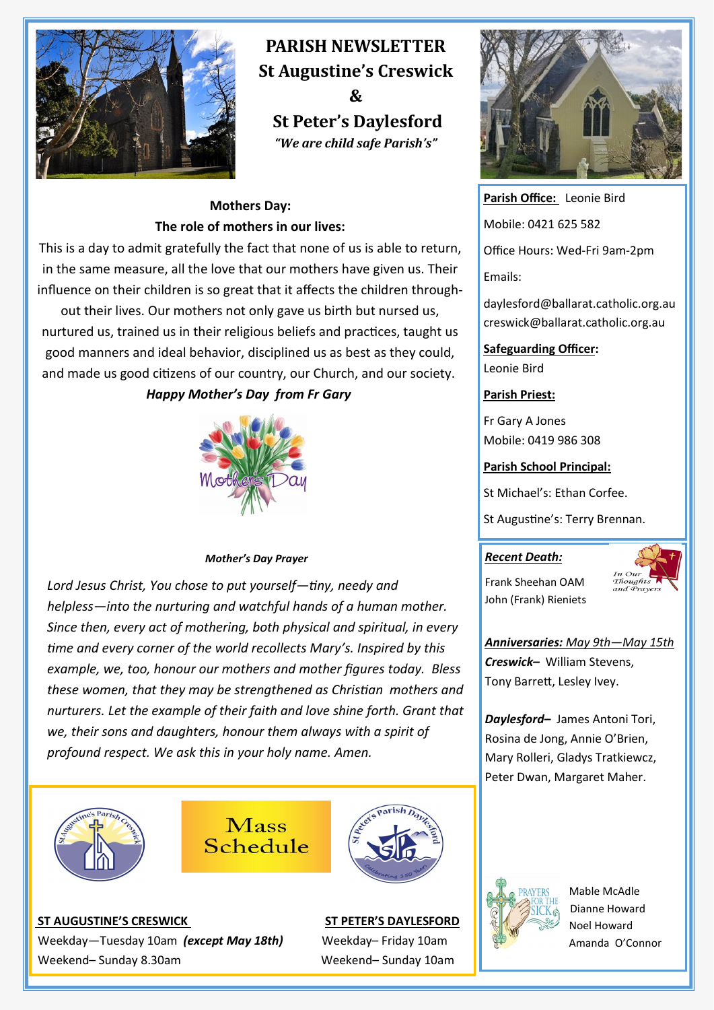

# **PARISH NEWSLETTER St Augustine's Creswick**

**& St Peter's Daylesford** *"We are child safe Parish's"*

### **Mothers Day: The role of mothers in our lives:**

This is a day to admit gratefully the fact that none of us is able to return, in the same measure, all the love that our mothers have given us. Their influence on their children is so great that it affects the children through-

out their lives. Our mothers not only gave us birth but nursed us, nurtured us, trained us in their religious beliefs and practices, taught us good manners and ideal behavior, disciplined us as best as they could, and made us good citizens of our country, our Church, and our society. *Happy Mother's Day from Fr Gary* 

#### *Mother's Day Prayer*

*Lord Jesus Christ, You chose to put yourself—tiny, needy and helpless—into the nurturing and watchful hands of a human mother. Since then, every act of mothering, both physical and spiritual, in every time and every corner of the world recollects Mary's. Inspired by this example, we, too, honour our mothers and mother figures today. Bless these women, that they may be strengthened as Christian mothers and nurturers. Let the example of their faith and love shine forth. Grant that we, their sons and daughters, honour them always with a spirit of profound respect. We ask this in your holy name. Amen.*









**Parish Office:** Leonie Bird Mobile: 0421 625 582 Office Hours: Wed-Fri 9am-2pm Emails:

daylesford@ballarat.catholic.org.au creswick@ballarat.catholic.org.au

**Safeguarding Officer:**  Leonie Bird

#### **Parish Priest:**

Fr Gary A Jones Mobile: 0419 986 308

#### **Parish School Principal:**

St Michael's: Ethan Corfee.

St Augustine's: Terry Brennan.

#### *Recent Death:*

Frank Sheehan OAM John (Frank) Rieniets



*Anniversaries: May 9th—May 15th Creswick–* William Stevens,

Tony Barrett, Lesley Ivey.

*Daylesford–* James Antoni Tori, Rosina de Jong, Annie O'Brien, Mary Rolleri, Gladys Tratkiewcz, Peter Dwan, Margaret Maher.



 Mable McAdle Dianne Howard Noel Howard Amanda O'Connor

#### **ST AUGUSTINE'S CRESWICK ST PETER'S DAYLESFORD**

Weekday—Tuesday 10am *(except May 18th)* Weekday– Friday 10am Weekend– Sunday 8.30am Weekend– Sunday 10am